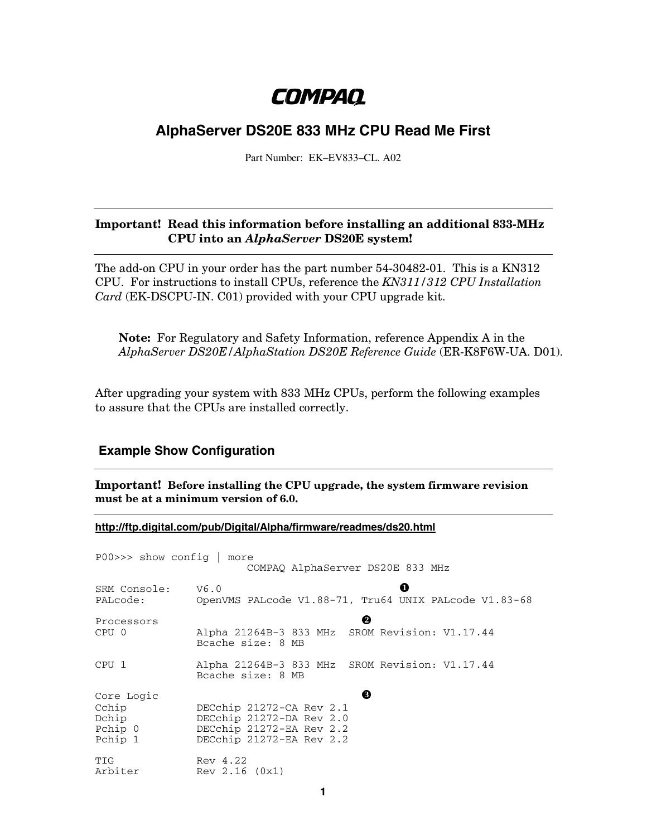# **COMPAQ**

## **AlphaServer DS20E 833 MHz CPU Read Me First**

Part Number: EK–EV833–CL. A02

#### **Important! Read this information before installing an additional 833-MHz CPU into an** *AlphaServer* **DS20E system!**

The add-on CPU in your order has the part number 54-30482-01. This is a KN312 CPU. For instructions to install CPUs, reference the *KN311/312 CPU Installation Card* (EK-DSCPU-IN. C01) provided with your CPU upgrade kit.

**Note:** For Regulatory and Safety Information, reference Appendix A in the *AlphaServer DS20E/AlphaStation DS20E Reference Guide* (ER-K8F6W-UA. D01).

After upgrading your system with 833 MHz CPUs, perform the following examples to assure that the CPUs are installed correctly.

### **Example Show Configuration**

**Important! Before installing the CPU upgrade, the system firmware revision must be at a minimum version of 6.0.**

**http://ftp.digital.com/pub/Digital/Alpha/firmware/readmes/ds20.html**

| $PO0 >>$ show config $ $                           | more<br>COMPAQ AlphaServer DS20E 833 MHz                                                                          |
|----------------------------------------------------|-------------------------------------------------------------------------------------------------------------------|
| SRM Console:<br>PALcode:                           | Ω<br>V6.0<br>OpenVMS PALcode V1.88-71, Tru64 UNIX PALcode V1.83-68                                                |
| Processors<br>CPU <sub>0</sub>                     | ❷<br>Alpha 21264B-3 833 MHz SROM Revision: V1.17.44<br>Bcache size: 8 MB                                          |
| CPU <sub>1</sub>                                   | Alpha 21264B-3 833 MHz SROM Revision: V1.17.44<br>Bcache size: 8 MB                                               |
| Core Logic<br>Cchip<br>Dchip<br>Pchip 0<br>Pchip 1 | ❸<br>DECchip 21272-CA Rev 2.1<br>DECchip 21272-DA Rev 2.0<br>DECchip 21272-EA Rev 2.2<br>DECchip 21272-EA Rev 2.2 |
| TIG<br>Arbiter                                     | Rev 4.22<br>Rev 2.16 (0x1)                                                                                        |